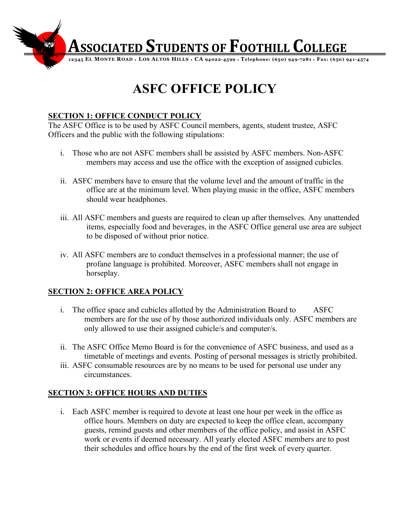

# **ASFC OFFICE POLICY**

# **SECTION 1: OFFICE CONDUCT POLICY**

The ASFC Office is to be used by ASFC Council members, agents, student trustee, ASFC Officers and the public with the following stipulations:

- i. Those who are not ASFC members shall be assisted by ASFC members. Non-ASFC members may access and use the office with the exception of assigned cubicles.
- ii. ASFC members have to ensure that the volume level and the amount of traffic in the office are at the minimum level. When playing music in the office, ASFC members should wear headphones.
- iii. All ASFC members and guests are required to clean up after themselves. Any unattended items, especially food and beverages, in the ASFC Office general use area are subject to be disposed of without prior notice.
- iv. All ASFC members are to conduct themselves in a professional manner; the use of profane language is prohibited. Moreover, ASFC members shall not engage in horseplay.

### **SECTION 2: OFFICE AREA POLICY**

- i. The office space and cubicles allotted by the Administration Board to ASFC members are for the use of by those authorized individuals only. ASFC members are only allowed to use their assigned cubicle/s and computer/s.
- ii. The ASFC Office Memo Board is for the convenience of ASFC business, and used as a timetable of meetings and events. Posting of personal messages is strictly prohibited.
- iii. ASFC consumable resources are by no means to be used for personal use under any circumstances.

### **SECTION 3: OFFICE HOURS AND DUTIES**

i. Each ASFC member is required to devote at least one hour per week in the office as office hours. Members on duty are expected to keep the office clean, accompany guests, remind guests and other members of the office policy, and assist in ASFC work or events if deemed necessary. All yearly elected ASFC members are to post their schedules and office hours by the end of the first week of every quarter.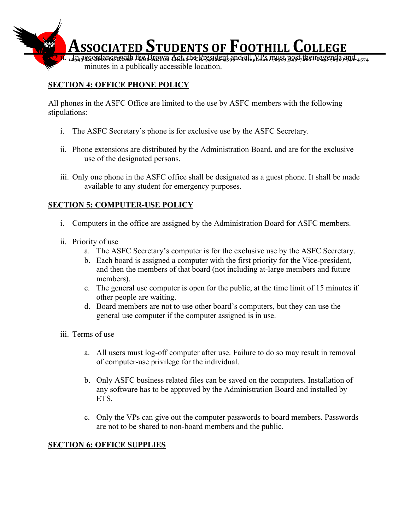

# **SECTION 4: OFFICE PHONE POLICY**

All phones in the ASFC Office are limited to the use by ASFC members with the following stipulations:

- i. The ASFC Secretary's phone is for exclusive use by the ASFC Secretary.
- ii. Phone extensions are distributed by the Administration Board, and are for the exclusive use of the designated persons.
- iii. Only one phone in the ASFC office shall be designated as a guest phone. It shall be made available to any student for emergency purposes.

#### **SECTION 5: COMPUTER-USE POLICY**

- i. Computers in the office are assigned by the Administration Board for ASFC members.
- ii. Priority of use
	- a. The ASFC Secretary's computer is for the exclusive use by the ASFC Secretary.
	- b. Each board is assigned a computer with the first priority for the Vice-president, and then the members of that board (not including at-large members and future members).
	- c. The general use computer is open for the public, at the time limit of 15 minutes if other people are waiting.
	- d. Board members are not to use other board's computers, but they can use the general use computer if the computer assigned is in use.
- iii. Terms of use
	- a. All users must log-off computer after use. Failure to do so may result in removal of computer-use privilege for the individual.
	- b. Only ASFC business related files can be saved on the computers. Installation of any software has to be approved by the Administration Board and installed by ETS.
	- c. Only the VPs can give out the computer passwords to board members. Passwords are not to be shared to non-board members and the public.

#### **SECTION 6: OFFICE SUPPLIES**